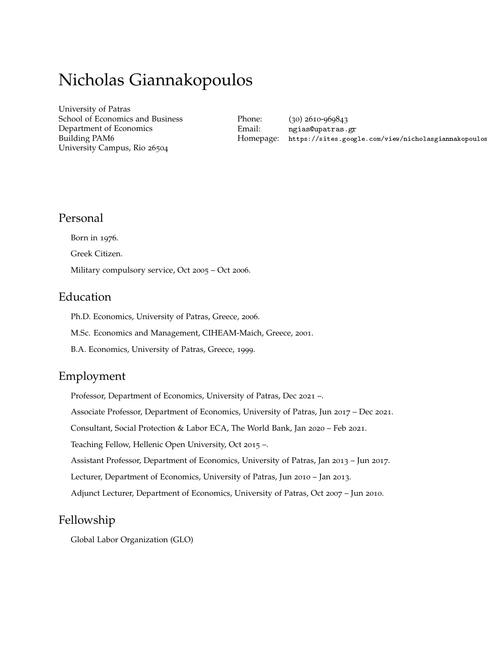# Nicholas Giannakopoulos

[University of Patras](http://www.upatras.gr/) School of Economics and Business Department of Economics Building PAM6 University Campus, Rio 26504

Phone: (30) 2610-969843 Email: [ngias@upatras.gr](mailto:ngias@upatras.gr) Homepage: [https://sites.google.com/view/nicholasgiannakopoulos](https://sites.google.com/view/nicholasgiannakopoulos/)

### Personal

Born in 1976. Greek Citizen. Military compulsory service, Oct 2005 – Oct 2006.

# Education

Ph.D. Economics, University of Patras, Greece, 2006.

M.Sc. Economics and Management, CIHEAM-Maich, Greece, 2001.

B.A. Economics, University of Patras, Greece, 1999.

# Employment

Professor, Department of Economics, University of Patras, Dec 2021 –.

Associate Professor, Department of Economics, University of Patras, Jun 2017 – Dec 2021.

Consultant, Social Protection & Labor ECA, The World Bank, Jan 2020 – Feb 2021.

Teaching Fellow, Hellenic Open University, Oct 2015 –.

Assistant Professor, Department of Economics, University of Patras, Jan 2013 – Jun 2017.

Lecturer, Department of Economics, University of Patras, Jun 2010 – Jan 2013.

Adjunct Lecturer, Department of Economics, University of Patras, Oct 2007 – Jun 2010.

# Fellowship

Global Labor Organization (GLO)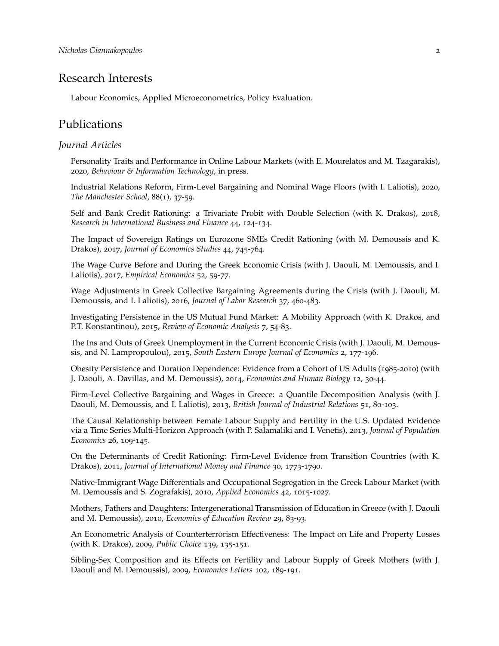### Research Interests

Labour Economics, Applied Microeconometrics, Policy Evaluation.

### Publications

### *Journal Articles*

Personality Traits and Performance in Online Labour Markets (with E. Mourelatos and M. Tzagarakis), 2020, *Behaviour & Information Technology*, in press.

Industrial Relations Reform, Firm-Level Bargaining and Nominal Wage Floors (with I. Laliotis), 2020, *The Manchester School*, 88(1), 37-59.

Self and Bank Credit Rationing: a Trivariate Probit with Double Selection (with K. Drakos), 2018, *Research in International Business and Finance* 44, 124-134.

The Impact of Sovereign Ratings on Eurozone SMEs Credit Rationing (with M. Demoussis and K. Drakos), 2017, *Journal of Economics Studies* 44, 745-764.

The Wage Curve Before and During the Greek Economic Crisis (with J. Daouli, M. Demoussis, and I. Laliotis), 2017, *Empirical Economics* 52, 59-77.

Wage Adjustments in Greek Collective Bargaining Agreements during the Crisis (with J. Daouli, M. Demoussis, and I. Laliotis), 2016, *Journal of Labor Research* 37, 460-483.

Investigating Persistence in the US Mutual Fund Market: A Mobility Approach (with K. Drakos, and P.T. Konstantinou), 2015, *Review of Economic Analysis* 7, 54-83.

The Ins and Outs of Greek Unemployment in the Current Economic Crisis (with J. Daouli, M. Demoussis, and N. Lampropoulou), 2015, *South Eastern Europe Journal of Economics* 2, 177-196.

Obesity Persistence and Duration Dependence: Evidence from a Cohort of US Adults (1985-2010) (with J. Daouli, A. Davillas, and M. Demoussis), 2014, *Economics and Human Biology* 12, 30-44.

Firm-Level Collective Bargaining and Wages in Greece: a Quantile Decomposition Analysis (with J. Daouli, M. Demoussis, and I. Laliotis), 2013, *British Journal of Industrial Relations* 51, 80-103.

The Causal Relationship between Female Labour Supply and Fertility in the U.S. Updated Evidence via a Time Series Multi-Horizon Approach (with P. Salamaliki and I. Venetis), 2013, *Journal of Population Economics* 26, 109-145.

On the Determinants of Credit Rationing: Firm-Level Evidence from Transition Countries (with K. Drakos), 2011, *Journal of International Money and Finance* 30, 1773-1790.

Native-Immigrant Wage Differentials and Occupational Segregation in the Greek Labour Market (with M. Demoussis and S. Zografakis), 2010, *Applied Economics* 42, 1015-1027.

Mothers, Fathers and Daughters: Intergenerational Transmission of Education in Greece (with J. Daouli and M. Demoussis), 2010, *Economics of Education Review* 29, 83-93.

An Econometric Analysis of Counterterrorism Effectiveness: The Impact on Life and Property Losses (with K. Drakos), 2009, *Public Choice* 139, 135-151.

Sibling-Sex Composition and its Effects on Fertility and Labour Supply of Greek Mothers (with J. Daouli and M. Demoussis), 2009, *Economics Letters* 102, 189-191.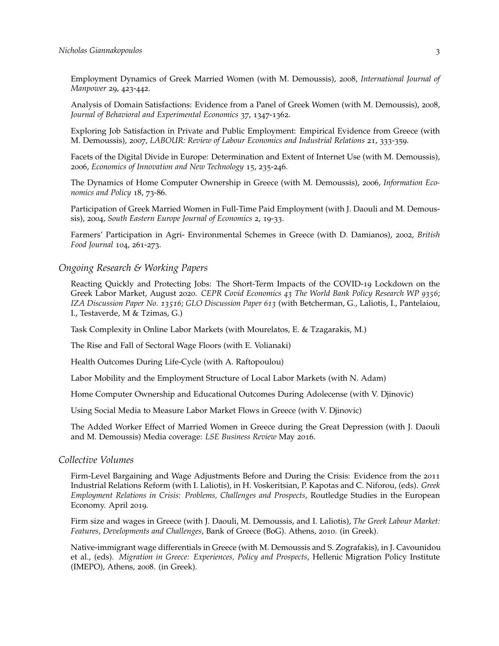Employment Dynamics of Greek Married Women (with M. Demoussis), 2008, *International Journal of Manpower* 29, 423-442.

Analysis of Domain Satisfactions: Evidence from a Panel of Greek Women (with M. Demoussis), 2008, *Journal of Behavioral and Experimental Economics* 37, 1347-1362.

Exploring Job Satisfaction in Private and Public Employment: Empirical Evidence from Greece (with M. Demoussis), 2007, *LABOUR: Review of Labour Economics and Industrial Relations* 21, 333-359.

Facets of the Digital Divide in Europe: Determination and Extent of Internet Use (with M. Demoussis), 2006, *Economics of Innovation and New Technology* 15, 235-246.

The Dynamics of Home Computer Ownership in Greece (with M. Demoussis), 2006, *Information Economics and Policy* 18, 73-86.

Participation of Greek Married Women in Full-Time Paid Employment (with J. Daouli and M. Demoussis), 2004, *South Eastern Europe Journal of Economics* 2, 19-33.

Farmers' Participation in Agri- Environmental Schemes in Greece (with D. Damianos), 2002, *British Food Journal* 104, 261-273.

*Ongoing Research & Working Papers*

Reacting Quickly and Protecting Jobs: The Short-Term Impacts of the COVID-19 Lockdown on the Greek Labor Market, August 2020. *CEPR Covid Economics 43 The World Bank Policy Research WP 9356*; *IZA Discussion Paper No. 13516*; *GLO Discussion Paper 613* (with Betcherman, G., Laliotis, I., Pantelaiou, I., Testaverde, M & Tzimas, G.)

Task Complexity in Online Labor Markets (with Mourelatos, E. & Tzagarakis, M.)

The Rise and Fall of Sectoral Wage Floors (with E. Volianaki)

Health Outcomes During Life-Cycle (with A. Raftopoulou)

Labor Mobility and the Employment Structure of Local Labor Markets (with N. Adam)

Home Computer Ownership and Educational Outcomes During Adolecense (with V. Djinovic)

Using Social Media to Measure Labor Market Flows in Greece (with V. Djinovic)

The Added Worker Effect of Married Women in Greece during the Great Depression (with J. Daouli and M. Demoussis) Media coverage: *LSE Business Review* May 2016.

#### *Collective Volumes*

Firm-Level Bargaining and Wage Adjustments Before and During the Crisis: Evidence from the 2011 Industrial Relations Reform (with I. Laliotis), in H. Voskeritsian, P. Kapotas and C. Niforou, (eds). *Greek Employment Relations in Crisis: Problems, Challenges and Prospects*, Routledge Studies in the European Economy. April 2019.

Firm size and wages in Greece (with J. Daouli, M. Demoussis, and I. Laliotis), *The Greek Labour Market: Features, Developments and Challenges*, Bank of Greece (BoG). Athens, 2010. (in Greek).

Native-immigrant wage differentials in Greece (with M. Demoussis and S. Zografakis), in J. Cavounidou et al., (eds). *Migration in Greece: Experiences, Policy and Prospects*, Hellenic Migration Policy Institute (IMEPO), Athens, 2008. (in Greek).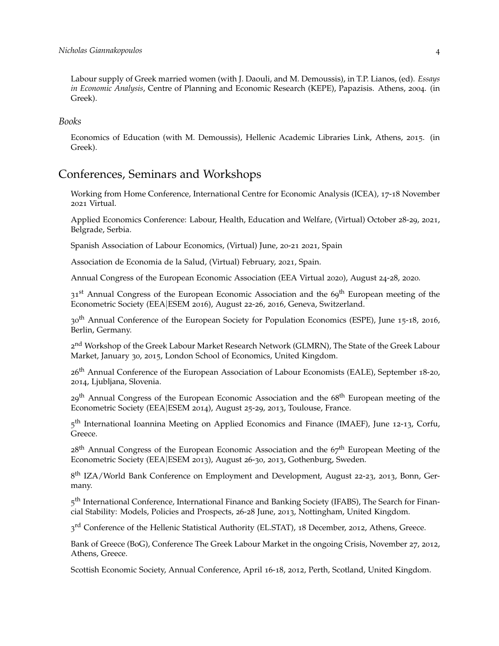Labour supply of Greek married women (with J. Daouli, and M. Demoussis), in T.P. Lianos, (ed). *Essays in Economic Analysis*, Centre of Planning and Economic Research (KEPE), Papazisis. Athens, 2004. (in Greek).

#### *Books*

Economics of Education (with M. Demoussis), Hellenic Academic Libraries Link, Athens, 2015. (in Greek).

# Conferences, Seminars and Workshops

Working from Home Conference, International Centre for Economic Analysis (ICEA), 17-18 November 2021 Virtual.

Applied Economics Conference: Labour, Health, Education and Welfare, (Virtual) October 28-29, 2021, Belgrade, Serbia.

Spanish Association of Labour Economics, (Virtual) June, 20-21 2021, Spain

Association de Economia de la Salud, (Virtual) February, 2021, Spain.

Annual Congress of the European Economic Association (EEA Virtual 2020), August 24-28, 2020.

31<sup>st</sup> Annual Congress of the European Economic Association and the 69<sup>th</sup> European meeting of the Econometric Society (EEA|ESEM 2016), August 22-26, 2016, Geneva, Switzerland.

30th Annual Conference of the European Society for Population Economics (ESPE), June 15-18, 2016, Berlin, Germany.

2<sup>nd</sup> Workshop of the Greek Labour Market Research Network (GLMRN), The State of the Greek Labour Market, January 30, 2015, London School of Economics, United Kingdom.

26<sup>th</sup> Annual Conference of the European Association of Labour Economists (EALE), September 18-20, 2014, Ljubljana, Slovenia.

29<sup>th</sup> Annual Congress of the European Economic Association and the 68<sup>th</sup> European meeting of the Econometric Society (EEA|ESEM 2014), August 25-29, 2013, Toulouse, France.

5<sup>th</sup> International Ioannina Meeting on Applied Economics and Finance (IMAEF), June 12-13, Corfu, Greece.

 $28<sup>th</sup>$  Annual Congress of the European Economic Association and the  $67<sup>th</sup>$  European Meeting of the Econometric Society (EEA|ESEM 2013), August 26-30, 2013, Gothenburg, Sweden.

8<sup>th</sup> IZA/World Bank Conference on Employment and Development, August 22-23, 2013, Bonn, Germany.

5<sup>th</sup> International Conference, International Finance and Banking Society (IFABS), The Search for Financial Stability: Models, Policies and Prospects, 26-28 June, 2013, Nottingham, United Kingdom.

3<sup>rd</sup> Conference of the Hellenic Statistical Authority (EL.STAT), 18 December, 2012, Athens, Greece.

Bank of Greece (BoG), Conference The Greek Labour Market in the ongoing Crisis, November 27, 2012, Athens, Greece.

Scottish Economic Society, Annual Conference, April 16-18, 2012, Perth, Scotland, United Kingdom.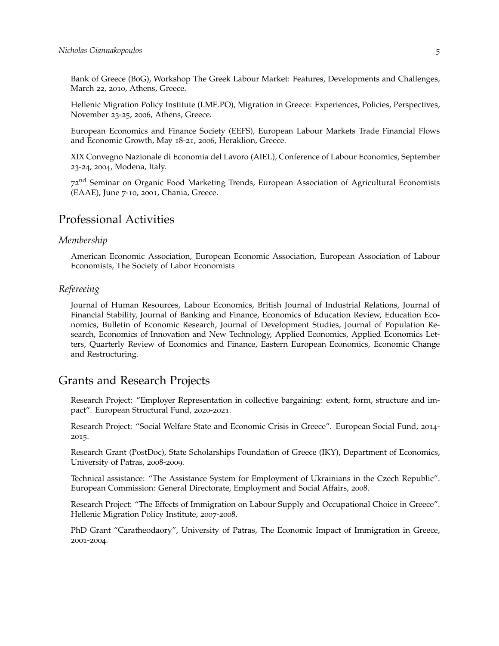Bank of Greece (BoG), Workshop The Greek Labour Market: Features, Developments and Challenges, March 22, 2010, Athens, Greece.

Hellenic Migration Policy Institute (I.ME.PO), Migration in Greece: Experiences, Policies, Perspectives, November 23-25, 2006, Athens, Greece.

European Economics and Finance Society (EEFS), European Labour Markets Trade Financial Flows and Economic Growth, May 18-21, 2006, Heraklion, Greece.

XIX Convegno Nazionale di Economia del Lavoro (AIEL), Conference of Labour Economics, September 23-24, 2004, Modena, Italy.

72nd Seminar on Organic Food Marketing Trends, European Association of Agricultural Economists (EAAE), June 7-10, 2001, Chania, Greece.

### Professional Activities

#### *Membership*

American Economic Association, European Economic Association, European Association of Labour Economists, The Society of Labor Economists

#### *Refereeing*

Journal of Human Resources, Labour Economics, British Journal of Industrial Relations, Journal of Financial Stability, Journal of Banking and Finance, Economics of Education Review, Education Economics, Bulletin of Economic Research, Journal of Development Studies, Journal of Population Research, Economics of Innovation and New Technology, Applied Economics, Applied Economics Letters, Quarterly Review of Economics and Finance, Eastern European Economics, Economic Change and Restructuring.

### Grants and Research Projects

Research Project: "Employer Representation in collective bargaining: extent, form, structure and impact". European Structural Fund, 2020-2021.

Research Project: "Social Welfare State and Economic Crisis in Greece". European Social Fund, 2014- 2015.

Research Grant (PostDoc), State Scholarships Foundation of Greece (IKY), Department of Economics, University of Patras, 2008-2009.

Technical assistance: "The Assistance System for Employment of Ukrainians in the Czech Republic". European Commission: General Directorate, Employment and Social Affairs, 2008.

Research Project: "The Effects of Immigration on Labour Supply and Occupational Choice in Greece". Hellenic Migration Policy Institute, 2007-2008.

PhD Grant "Caratheodaory", University of Patras, The Economic Impact of Immigration in Greece, 2001-2004.